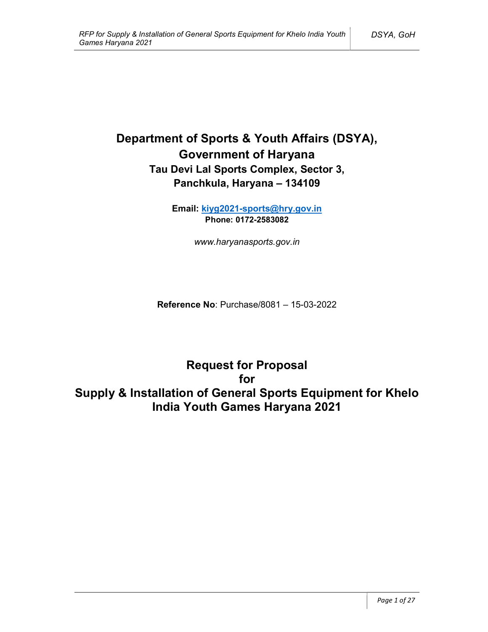# Department of Sports & Youth Affairs (DSYA), Government of Haryana Tau Devi Lal Sports Complex, Sector 3, Panchkula, Haryana – 134109

Email: kiyg2021-sports@hry.gov.in Phone: 0172-2583082

www.haryanasports.gov.in

Reference No: Purchase/8081 – 15-03-2022

Request for Proposal for Supply & Installation of General Sports Equipment for Khelo India Youth Games Haryana 2021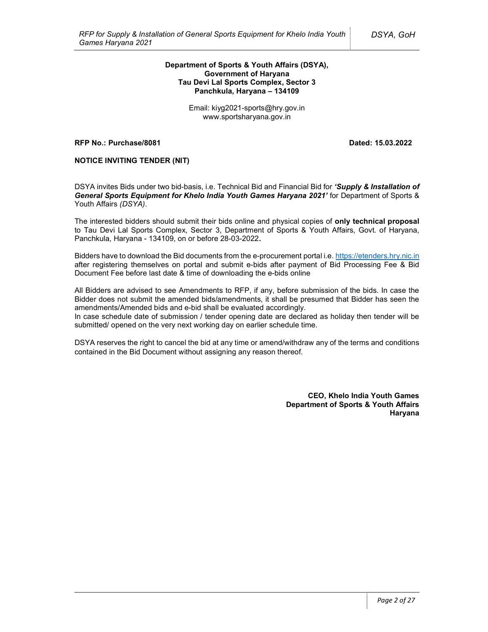#### Department of Sports & Youth Affairs (DSYA), Government of Haryana Tau Devi Lal Sports Complex, Sector 3 Panchkula, Haryana – 134109

Email: kiyg2021-sports@hry.gov.in www.sportsharyana.gov.in

RFP No.: Purchase/8081 Dated: 15.03.2022

### NOTICE INVITING TENDER (NIT)

DSYA invites Bids under two bid-basis, i.e. Technical Bid and Financial Bid for 'Supply & Installation of General Sports Equipment for Khelo India Youth Games Haryana 2021' for Department of Sports & Youth Affairs (DSYA).

The interested bidders should submit their bids online and physical copies of only technical proposal to Tau Devi Lal Sports Complex, Sector 3, Department of Sports & Youth Affairs, Govt. of Haryana, Panchkula, Haryana - 134109, on or before 28-03-2022.

Bidders have to download the Bid documents from the e-procurement portal i.e. https://etenders.hry.nic.in after registering themselves on portal and submit e-bids after payment of Bid Processing Fee & Bid Document Fee before last date & time of downloading the e-bids online

All Bidders are advised to see Amendments to RFP, if any, before submission of the bids. In case the Bidder does not submit the amended bids/amendments, it shall be presumed that Bidder has seen the amendments/Amended bids and e-bid shall be evaluated accordingly.

In case schedule date of submission / tender opening date are declared as holiday then tender will be submitted/ opened on the very next working day on earlier schedule time.

DSYA reserves the right to cancel the bid at any time or amend/withdraw any of the terms and conditions contained in the Bid Document without assigning any reason thereof.

> CEO, Khelo India Youth Games Department of Sports & Youth Affairs Haryana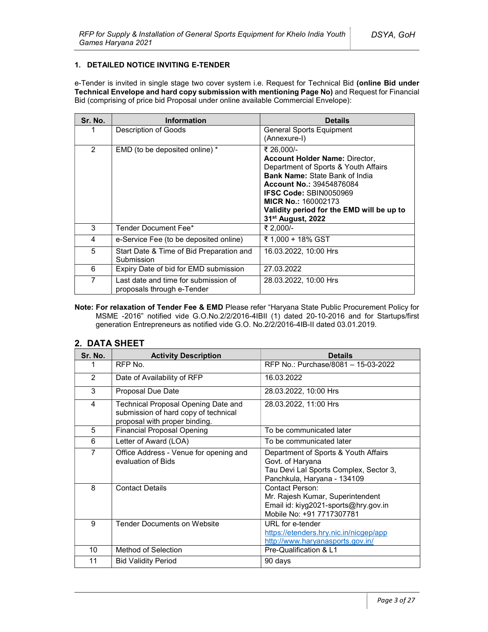## 1. DETAILED NOTICE INVITING E-TENDER

e-Tender is invited in single stage two cover system i.e. Request for Technical Bid (online Bid under Technical Envelope and hard copy submission with mentioning Page No) and Request for Financial Bid (comprising of price bid Proposal under online available Commercial Envelope):

| Sr. No.       | <b>Information</b>                                                 | <b>Details</b>                                                                                                                                                                                                                                                                                                       |
|---------------|--------------------------------------------------------------------|----------------------------------------------------------------------------------------------------------------------------------------------------------------------------------------------------------------------------------------------------------------------------------------------------------------------|
|               | Description of Goods                                               | General Sports Equipment<br>(Annexure-I)                                                                                                                                                                                                                                                                             |
| $\mathcal{P}$ | EMD (to be deposited online) *                                     | ₹ 26,000/-<br><b>Account Holder Name: Director,</b><br>Department of Sports & Youth Affairs<br><b>Bank Name: State Bank of India</b><br><b>Account No.: 39454876084</b><br><b>IFSC Code: SBIN0050969</b><br><b>MICR No.: 160002173</b><br>Validity period for the EMD will be up to<br>31 <sup>st</sup> August, 2022 |
| 3             | Tender Document Fee*                                               | ₹ 2,000/-                                                                                                                                                                                                                                                                                                            |
| 4             | e-Service Fee (to be deposited online)                             | ₹ 1,000 + 18% GST                                                                                                                                                                                                                                                                                                    |
| 5             | Start Date & Time of Bid Preparation and<br>Submission             | 16.03.2022, 10:00 Hrs                                                                                                                                                                                                                                                                                                |
| 6             | Expiry Date of bid for EMD submission                              | 27.03.2022                                                                                                                                                                                                                                                                                                           |
| 7             | Last date and time for submission of<br>proposals through e-Tender | 28.03.2022, 10:00 Hrs                                                                                                                                                                                                                                                                                                |

Note: For relaxation of Tender Fee & EMD Please refer "Haryana State Public Procurement Policy for MSME -2016" notified vide G.O.No.2/2/2016-4IBII (1) dated 20-10-2016 and for Startups/first generation Entrepreneurs as notified vide G.O. No.2/2/2016-4IB-II dated 03.01.2019.

## 2. DATA SHEET

| Sr. No. | <b>Activity Description</b>                                                                                  | <b>Details</b>                                                                                                                    |
|---------|--------------------------------------------------------------------------------------------------------------|-----------------------------------------------------------------------------------------------------------------------------------|
| 1       | RFP No.                                                                                                      | RFP No.: Purchase/8081 - 15-03-2022                                                                                               |
| 2       | Date of Availability of RFP                                                                                  | 16.03.2022                                                                                                                        |
| 3       | Proposal Due Date                                                                                            | 28.03.2022, 10:00 Hrs                                                                                                             |
| 4       | Technical Proposal Opening Date and<br>submission of hard copy of technical<br>proposal with proper binding. | 28.03.2022, 11:00 Hrs                                                                                                             |
| 5       | <b>Financial Proposal Opening</b>                                                                            | To be communicated later                                                                                                          |
| 6       | Letter of Award (LOA)                                                                                        | To be communicated later                                                                                                          |
| 7       | Office Address - Venue for opening and<br>evaluation of Bids                                                 | Department of Sports & Youth Affairs<br>Govt. of Haryana<br>Tau Devi Lal Sports Complex, Sector 3,<br>Panchkula, Haryana - 134109 |
| 8       | <b>Contact Details</b>                                                                                       | Contact Person:<br>Mr. Rajesh Kumar, Superintendent<br>Email id: kiyg2021-sports@hry.gov.in<br>Mobile No: +91 7717307781          |
| 9       | <b>Tender Documents on Website</b>                                                                           | URL for e-tender<br>https://etenders.hry.nic.in/nicgep/app<br>http://www.haryanasports.gov.in/                                    |
| 10      | Method of Selection                                                                                          | Pre-Qualification & L1                                                                                                            |
| 11      | <b>Bid Validity Period</b>                                                                                   | 90 days                                                                                                                           |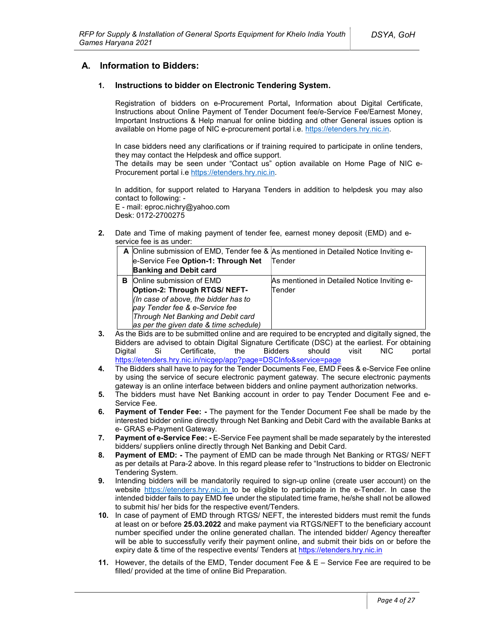## A. Information to Bidders:

## 1. Instructions to bidder on Electronic Tendering System.

Registration of bidders on e-Procurement Portal, Information about Digital Certificate, Instructions about Online Payment of Tender Document fee/e-Service Fee/Earnest Money, Important Instructions & Help manual for online bidding and other General issues option is available on Home page of NIC e-procurement portal i.e. https://etenders.hry.nic.in.

In case bidders need any clarifications or if training required to participate in online tenders, they may contact the Helpdesk and office support.

The details may be seen under "Contact us" option available on Home Page of NIC e-Procurement portal i.e https://etenders.hry.nic.in.

In addition, for support related to Haryana Tenders in addition to helpdesk you may also contact to following: - E - mail: eproc.nichry@yahoo.com

Desk: 0172-2700275

2. Date and Time of making payment of tender fee, earnest money deposit (EMD) and eservice fee is as under:

|   |                                        | A Online submission of EMD, Tender fee & As mentioned in Detailed Notice Inviting e- |
|---|----------------------------------------|--------------------------------------------------------------------------------------|
|   | e-Service Fee Option-1: Through Net    | Tender                                                                               |
|   | <b>Banking and Debit card</b>          |                                                                                      |
| в | <b>Online submission of EMD</b>        | As mentioned in Detailed Notice Inviting e-                                          |
|   | Option-2: Through RTGS/ NEFT-          | Tender                                                                               |
|   | (In case of above, the bidder has to   |                                                                                      |
|   | pay Tender fee & e-Service fee         |                                                                                      |
|   | Through Net Banking and Debit card     |                                                                                      |
|   | as per the given date & time schedule) |                                                                                      |

- 3. As the Bids are to be submitted online and are required to be encrypted and digitally signed, the Bidders are advised to obtain Digital Signature Certificate (DSC) at the earliest. For obtaining Digital Si Certificate, the Bidders should visit NIC portal https://etenders.hry.nic.in/nicgep/app?page=DSCInfo&service=page
- 4. The Bidders shall have to pay for the Tender Documents Fee, EMD Fees & e-Service Fee online by using the service of secure electronic payment gateway. The secure electronic payments gateway is an online interface between bidders and online payment authorization networks.
- 5. The bidders must have Net Banking account in order to pay Tender Document Fee and e-Service Fee.
- 6. Payment of Tender Fee: The payment for the Tender Document Fee shall be made by the interested bidder online directly through Net Banking and Debit Card with the available Banks at e- GRAS e-Payment Gateway.
- 7. Payment of e-Service Fee: E-Service Fee payment shall be made separately by the interested bidders/ suppliers online directly through Net Banking and Debit Card.
- 8. Payment of EMD: The payment of EMD can be made through Net Banking or RTGS/ NEFT as per details at Para-2 above. In this regard please refer to "Instructions to bidder on Electronic Tendering System.
- 9. Intending bidders will be mandatorily required to sign-up online (create user account) on the website https://etenders.hry.nic.in to be eligible to participate in the e-Tender. In case the intended bidder fails to pay EMD fee under the stipulated time frame, he/she shall not be allowed to submit his/ her bids for the respective event/Tenders.
- 10. In case of payment of EMD through RTGS/ NEFT, the interested bidders must remit the funds at least on or before 25.03.2022 and make payment via RTGS/NEFT to the beneficiary account number specified under the online generated challan. The intended bidder/ Agency thereafter will be able to successfully verify their payment online, and submit their bids on or before the expiry date & time of the respective events/ Tenders at https://etenders.hry.nic.in
- 11. However, the details of the EMD, Tender document Fee  $\& E -$  Service Fee are required to be filled/ provided at the time of online Bid Preparation.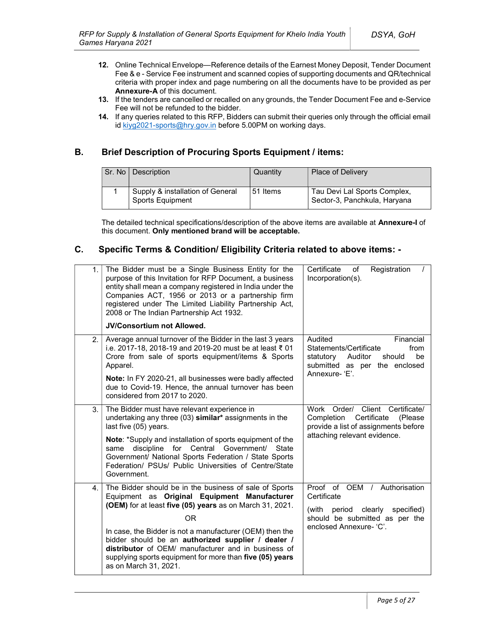- 12. Online Technical Envelope—Reference details of the Earnest Money Deposit, Tender Document Fee & e - Service Fee instrument and scanned copies of supporting documents and QR/technical criteria with proper index and page numbering on all the documents have to be provided as per Annexure-A of this document.
- 13. If the tenders are cancelled or recalled on any grounds, the Tender Document Fee and e-Service Fee will not be refunded to the bidder.
- 14. If any queries related to this RFP, Bidders can submit their queries only through the official email id kiyg2021-sports@hry.gov.in before 5.00PM on working days.

## B. Brief Description of Procuring Sports Equipment / items:

| Sr. No | Description                                          | Quantity | <b>Place of Delivery</b>                                     |
|--------|------------------------------------------------------|----------|--------------------------------------------------------------|
|        | Supply & installation of General<br>Sports Equipment | 51 Items | Tau Devi Lal Sports Complex,<br>Sector-3, Panchkula, Haryana |

The detailed technical specifications/description of the above items are available at Annexure-I of this document. Only mentioned brand will be acceptable.

## C. Specific Terms & Condition/ Eligibility Criteria related to above items: -

| 1. | The Bidder must be a Single Business Entity for the<br>purpose of this Invitation for RFP Document, a business<br>entity shall mean a company registered in India under the<br>Companies ACT, 1956 or 2013 or a partnership firm<br>registered under The Limited Liability Partnership Act,<br>2008 or The Indian Partnership Act 1932.<br>JV/Consortium not Allowed.                                                                         | Certificate<br>Registration<br>οf<br>Incorporation(s).                                                                                           |
|----|-----------------------------------------------------------------------------------------------------------------------------------------------------------------------------------------------------------------------------------------------------------------------------------------------------------------------------------------------------------------------------------------------------------------------------------------------|--------------------------------------------------------------------------------------------------------------------------------------------------|
| 2. | Average annual turnover of the Bidder in the last 3 years<br>i.e. 2017-18, 2018-19 and 2019-20 must be at least ₹ 01<br>Crore from sale of sports equipment/items & Sports<br>Apparel.<br>Note: In FY 2020-21, all businesses were badly affected<br>due to Covid-19. Hence, the annual turnover has been<br>considered from 2017 to 2020.                                                                                                    | Audited<br>Financial<br>Statements/Certificate<br>from<br>Auditor<br>should<br>be<br>statutory<br>submitted as per the enclosed<br>Annexure-'E'. |
| 3. | The Bidder must have relevant experience in<br>undertaking any three (03) similar* assignments in the<br>last five (05) years.<br>Note: *Supply and installation of sports equipment of the<br>same discipline for Central Government/<br>State<br>Government/ National Sports Federation / State Sports<br>Federation/ PSUs/ Public Universities of Centre/State<br>Government.                                                              | Work Order/ Client Certificate/<br>Certificate<br>Completion<br>(Please)<br>provide a list of assignments before<br>attaching relevant evidence. |
| 4. | The Bidder should be in the business of sale of Sports<br>Equipment as Original Equipment Manufacturer<br>(OEM) for at least five (05) years as on March 31, 2021.<br><b>OR</b><br>In case, the Bidder is not a manufacturer (OEM) then the<br>bidder should be an authorized supplier / dealer /<br>distributor of OEM/ manufacturer and in business of<br>supplying sports equipment for more than five (05) years<br>as on March 31, 2021. | Proof of OEM / Authorisation<br>Certificate<br>(with period clearly<br>specified)<br>should be submitted as per the<br>enclosed Annexure- 'C'.   |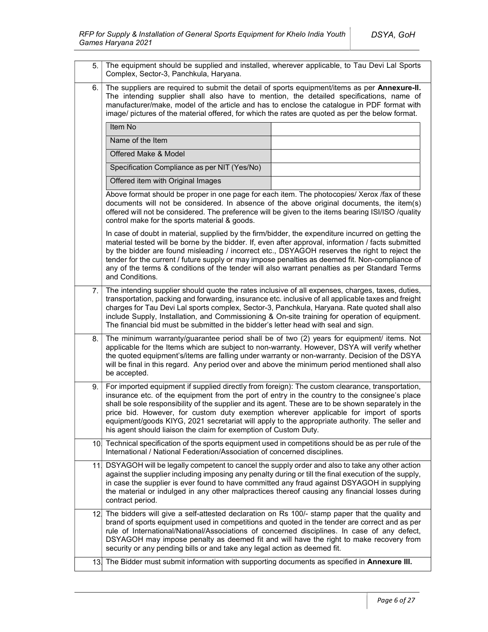| 5. | The equipment should be supplied and installed, wherever applicable, to Tau Devi Lal Sports<br>Complex, Sector-3, Panchkula, Haryana.                                                                                                                                                                                                                                                                                                                                                                                                                                     |  |  |  |
|----|---------------------------------------------------------------------------------------------------------------------------------------------------------------------------------------------------------------------------------------------------------------------------------------------------------------------------------------------------------------------------------------------------------------------------------------------------------------------------------------------------------------------------------------------------------------------------|--|--|--|
| 6. | The suppliers are required to submit the detail of sports equipment/items as per Annexure-II.<br>The intending supplier shall also have to mention, the detailed specifications, name of<br>manufacturer/make, model of the article and has to enclose the catalogue in PDF format with<br>image/ pictures of the material offered, for which the rates are quoted as per the below format.                                                                                                                                                                               |  |  |  |
|    | Item No                                                                                                                                                                                                                                                                                                                                                                                                                                                                                                                                                                   |  |  |  |
|    | Name of the Item                                                                                                                                                                                                                                                                                                                                                                                                                                                                                                                                                          |  |  |  |
|    | Offered Make & Model                                                                                                                                                                                                                                                                                                                                                                                                                                                                                                                                                      |  |  |  |
|    | Specification Compliance as per NIT (Yes/No)                                                                                                                                                                                                                                                                                                                                                                                                                                                                                                                              |  |  |  |
|    | Offered item with Original Images                                                                                                                                                                                                                                                                                                                                                                                                                                                                                                                                         |  |  |  |
|    | Above format should be proper in one page for each item. The photocopies/ Xerox /fax of these<br>documents will not be considered. In absence of the above original documents, the item(s)<br>offered will not be considered. The preference will be given to the items bearing ISI/ISO /quality<br>control make for the sports material & goods.                                                                                                                                                                                                                         |  |  |  |
|    | In case of doubt in material, supplied by the firm/bidder, the expenditure incurred on getting the<br>material tested will be borne by the bidder. If, even after approval, information / facts submitted<br>by the bidder are found misleading / incorrect etc., DSYAGOH reserves the right to reject the<br>tender for the current / future supply or may impose penalties as deemed fit. Non-compliance of<br>any of the terms & conditions of the tender will also warrant penalties as per Standard Terms<br>and Conditions.                                         |  |  |  |
| 7. | The intending supplier should quote the rates inclusive of all expenses, charges, taxes, duties,<br>transportation, packing and forwarding, insurance etc. inclusive of all applicable taxes and freight<br>charges for Tau Devi Lal sports complex, Sector-3, Panchkula, Haryana. Rate quoted shall also<br>include Supply, Installation, and Commissioning & On-site training for operation of equipment.<br>The financial bid must be submitted in the bidder's letter head with seal and sign.                                                                        |  |  |  |
| 8. | The minimum warranty/guarantee period shall be of two (2) years for equipment/ items. Not<br>applicable for the Items which are subject to non-warranty. However, DSYA will verify whether<br>the quoted equipment's/items are falling under warranty or non-warranty. Decision of the DSYA<br>will be final in this regard. Any period over and above the minimum period mentioned shall also<br>be accepted.                                                                                                                                                            |  |  |  |
| 9. | For imported equipment if supplied directly from foreign): The custom clearance, transportation,<br>insurance etc. of the equipment from the port of entry in the country to the consignee's place<br>shall be sole responsibility of the supplier and its agent. These are to be shown separately in the<br>price bid. However, for custom duty exemption wherever applicable for import of sports<br>equipment/goods KIYG, 2021 secretariat will apply to the appropriate authority. The seller and<br>his agent should liaison the claim for exemption of Custom Duty. |  |  |  |
|    | 10. Technical specification of the sports equipment used in competitions should be as per rule of the<br>International / National Federation/Association of concerned disciplines.                                                                                                                                                                                                                                                                                                                                                                                        |  |  |  |
|    | 11. DSYAGOH will be legally competent to cancel the supply order and also to take any other action<br>against the supplier including imposing any penalty during or till the final execution of the supply,<br>in case the supplier is ever found to have committed any fraud against DSYAGOH in supplying<br>the material or indulged in any other malpractices thereof causing any financial losses during<br>contract period.                                                                                                                                          |  |  |  |
|    | 12. The bidders will give a self-attested declaration on Rs 100/- stamp paper that the quality and<br>brand of sports equipment used in competitions and quoted in the tender are correct and as per<br>rule of International/National/Associations of concerned disciplines. In case of any defect,<br>DSYAGOH may impose penalty as deemed fit and will have the right to make recovery from<br>security or any pending bills or and take any legal action as deemed fit.                                                                                               |  |  |  |
|    | 13. The Bidder must submit information with supporting documents as specified in Annexure III.                                                                                                                                                                                                                                                                                                                                                                                                                                                                            |  |  |  |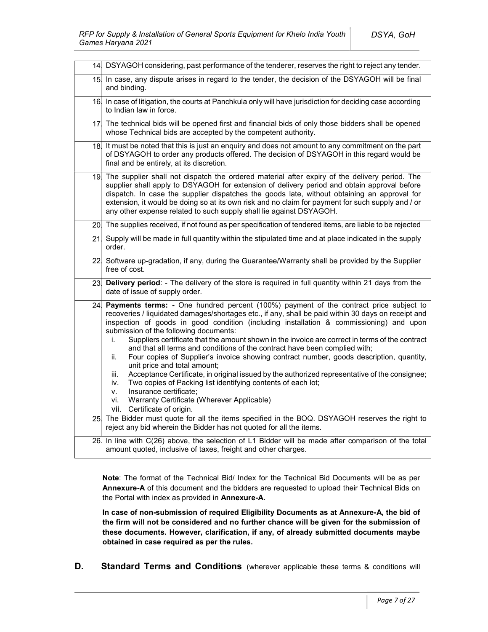|     | 14 DSYAGOH considering, past performance of the tenderer, reserves the right to reject any tender.                                                                                                                                                                                                                                                                                                                                                                                                                                                                                                                                                                                                                                                                                                                                                                                                                                                                  |
|-----|---------------------------------------------------------------------------------------------------------------------------------------------------------------------------------------------------------------------------------------------------------------------------------------------------------------------------------------------------------------------------------------------------------------------------------------------------------------------------------------------------------------------------------------------------------------------------------------------------------------------------------------------------------------------------------------------------------------------------------------------------------------------------------------------------------------------------------------------------------------------------------------------------------------------------------------------------------------------|
|     | 15. In case, any dispute arises in regard to the tender, the decision of the DSYAGOH will be final<br>and binding.                                                                                                                                                                                                                                                                                                                                                                                                                                                                                                                                                                                                                                                                                                                                                                                                                                                  |
|     | 16. In case of litigation, the courts at Panchkula only will have jurisdiction for deciding case according<br>to Indian law in force.                                                                                                                                                                                                                                                                                                                                                                                                                                                                                                                                                                                                                                                                                                                                                                                                                               |
|     | 17. The technical bids will be opened first and financial bids of only those bidders shall be opened<br>whose Technical bids are accepted by the competent authority.                                                                                                                                                                                                                                                                                                                                                                                                                                                                                                                                                                                                                                                                                                                                                                                               |
|     | 18. It must be noted that this is just an enquiry and does not amount to any commitment on the part<br>of DSYAGOH to order any products offered. The decision of DSYAGOH in this regard would be<br>final and be entirely, at its discretion.                                                                                                                                                                                                                                                                                                                                                                                                                                                                                                                                                                                                                                                                                                                       |
|     | 19. The supplier shall not dispatch the ordered material after expiry of the delivery period. The<br>supplier shall apply to DSYAGOH for extension of delivery period and obtain approval before<br>dispatch. In case the supplier dispatches the goods late, without obtaining an approval for<br>extension, it would be doing so at its own risk and no claim for payment for such supply and / or<br>any other expense related to such supply shall lie against DSYAGOH.                                                                                                                                                                                                                                                                                                                                                                                                                                                                                         |
|     | 20. The supplies received, if not found as per specification of tendered items, are liable to be rejected                                                                                                                                                                                                                                                                                                                                                                                                                                                                                                                                                                                                                                                                                                                                                                                                                                                           |
|     | 21. Supply will be made in full quantity within the stipulated time and at place indicated in the supply<br>order.                                                                                                                                                                                                                                                                                                                                                                                                                                                                                                                                                                                                                                                                                                                                                                                                                                                  |
|     |                                                                                                                                                                                                                                                                                                                                                                                                                                                                                                                                                                                                                                                                                                                                                                                                                                                                                                                                                                     |
|     | 22 Software up-gradation, if any, during the Guarantee/Warranty shall be provided by the Supplier<br>free of cost.                                                                                                                                                                                                                                                                                                                                                                                                                                                                                                                                                                                                                                                                                                                                                                                                                                                  |
|     | 23. Delivery period: - The delivery of the store is required in full quantity within 21 days from the<br>date of issue of supply order.                                                                                                                                                                                                                                                                                                                                                                                                                                                                                                                                                                                                                                                                                                                                                                                                                             |
| 24. | Payments terms: - One hundred percent (100%) payment of the contract price subject to<br>recoveries / liquidated damages/shortages etc., if any, shall be paid within 30 days on receipt and<br>inspection of goods in good condition (including installation & commissioning) and upon<br>submission of the following documents:<br>Suppliers certificate that the amount shown in the invoice are correct in terms of the contract<br>i.<br>and that all terms and conditions of the contract have been complied with;<br>Four copies of Supplier's invoice showing contract number, goods description, quantity,<br>ii.<br>unit price and total amount;<br>Acceptance Certificate, in original issued by the authorized representative of the consignee;<br>iii.<br>Two copies of Packing list identifying contents of each lot;<br>iv.<br>Insurance certificate;<br>v.<br>Warranty Certificate (Wherever Applicable)<br>vi.<br>vii. -<br>Certificate of origin. |
|     | 25. The Bidder must quote for all the items specified in the BOQ. DSYAGOH reserves the right to<br>reject any bid wherein the Bidder has not quoted for all the items.<br>26 In line with C(26) above, the selection of L1 Bidder will be made after comparison of the total                                                                                                                                                                                                                                                                                                                                                                                                                                                                                                                                                                                                                                                                                        |

Note: The format of the Technical Bid/ Index for the Technical Bid Documents will be as per Annexure-A of this document and the bidders are requested to upload their Technical Bids on the Portal with index as provided in Annexure-A.

In case of non-submission of required Eligibility Documents as at Annexure-A, the bid of the firm will not be considered and no further chance will be given for the submission of these documents. However, clarification, if any, of already submitted documents maybe obtained in case required as per the rules.

**D.** Standard Terms and Conditions (wherever applicable these terms & conditions will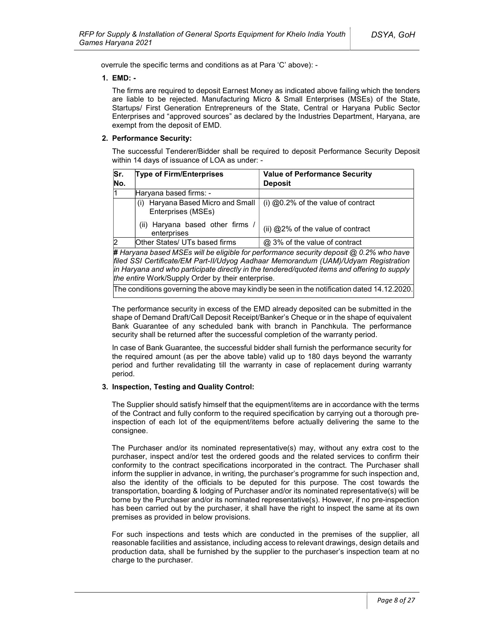overrule the specific terms and conditions as at Para 'C' above): -

### 1. EMD: -

The firms are required to deposit Earnest Money as indicated above failing which the tenders are liable to be rejected. Manufacturing Micro & Small Enterprises (MSEs) of the State, Startups/ First Generation Entrepreneurs of the State, Central or Haryana Public Sector Enterprises and "approved sources" as declared by the Industries Department, Haryana, are exempt from the deposit of EMD.

### 2. Performance Security:

The successful Tenderer/Bidder shall be required to deposit Performance Security Deposit within 14 days of issuance of LOA as under: -

| Sr.<br>No. | <b>Type of Firm/Enterprises</b>                                          | <b>Value of Performance Security</b><br><b>Deposit</b> |
|------------|--------------------------------------------------------------------------|--------------------------------------------------------|
|            | Haryana based firms: -                                                   |                                                        |
|            | Haryana Based Micro and Small<br>$\left( 1\right)$<br>Enterprises (MSEs) | (i) $@0.2\%$ of the value of contract                  |
|            | (ii) Haryana based other firms<br>enterprises                            | (ii) $@2\%$ of the value of contract                   |
|            | Other States/ UTs based firms                                            | @ 3% of the value of contract                          |

# Haryana based MSEs will be eligible for performance security deposit @ 0.2% who have filed SSI Certificate/EM Part-II/Udyog Aadhaar Memorandum (UAM)/Udyam Registration in Haryana and who participate directly in the tendered/quoted items and offering to supply the entire Work/Supply Order by their enterprise.

The conditions governing the above may kindly be seen in the notification dated 14.12.2020.

The performance security in excess of the EMD already deposited can be submitted in the shape of Demand Draft/Call Deposit Receipt/Banker's Cheque or in the shape of equivalent Bank Guarantee of any scheduled bank with branch in Panchkula. The performance security shall be returned after the successful completion of the warranty period.

In case of Bank Guarantee, the successful bidder shall furnish the performance security for the required amount (as per the above table) valid up to 180 days beyond the warranty period and further revalidating till the warranty in case of replacement during warranty period.

### 3. Inspection, Testing and Quality Control:

The Supplier should satisfy himself that the equipment/items are in accordance with the terms of the Contract and fully conform to the required specification by carrying out a thorough preinspection of each lot of the equipment/items before actually delivering the same to the consignee.

 The Purchaser and/or its nominated representative(s) may, without any extra cost to the purchaser, inspect and/or test the ordered goods and the related services to confirm their conformity to the contract specifications incorporated in the contract. The Purchaser shall inform the supplier in advance, in writing, the purchaser's programme for such inspection and, also the identity of the officials to be deputed for this purpose. The cost towards the transportation, boarding & lodging of Purchaser and/or its nominated representative(s) will be borne by the Purchaser and/or its nominated representative(s). However, if no pre-inspection has been carried out by the purchaser, it shall have the right to inspect the same at its own premises as provided in below provisions.

 For such inspections and tests which are conducted in the premises of the supplier, all reasonable facilities and assistance, including access to relevant drawings, design details and production data, shall be furnished by the supplier to the purchaser's inspection team at no charge to the purchaser.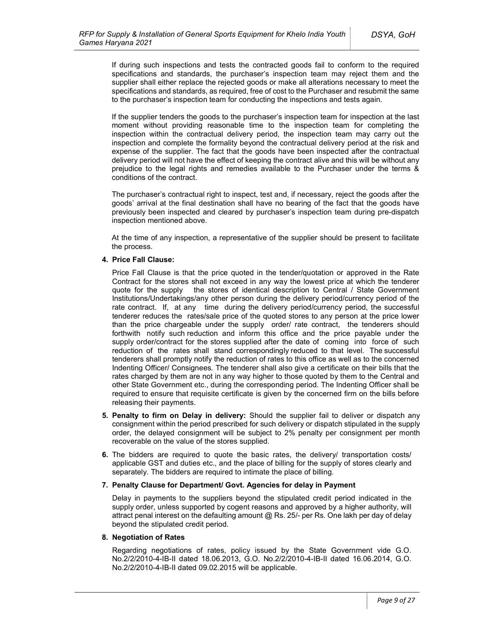If during such inspections and tests the contracted goods fail to conform to the required specifications and standards, the purchaser's inspection team may reject them and the supplier shall either replace the rejected goods or make all alterations necessary to meet the specifications and standards, as required, free of cost to the Purchaser and resubmit the same to the purchaser's inspection team for conducting the inspections and tests again.

 If the supplier tenders the goods to the purchaser's inspection team for inspection at the last moment without providing reasonable time to the inspection team for completing the inspection within the contractual delivery period, the inspection team may carry out the inspection and complete the formality beyond the contractual delivery period at the risk and expense of the supplier. The fact that the goods have been inspected after the contractual delivery period will not have the effect of keeping the contract alive and this will be without any prejudice to the legal rights and remedies available to the Purchaser under the terms & conditions of the contract.

 The purchaser's contractual right to inspect, test and, if necessary, reject the goods after the goods' arrival at the final destination shall have no bearing of the fact that the goods have previously been inspected and cleared by purchaser's inspection team during pre-dispatch inspection mentioned above.

 At the time of any inspection, a representative of the supplier should be present to facilitate the process.

#### 4. Price Fall Clause:

Price Fall Clause is that the price quoted in the tender/quotation or approved in the Rate Contract for the stores shall not exceed in any way the lowest price at which the tenderer quote for the supply the stores of identical description to Central / State Government Institutions/Undertakings/any other person during the delivery period/currency period of the rate contract. If, at any time during the delivery period/currency period, the successful tenderer reduces the rates/sale price of the quoted stores to any person at the price lower than the price chargeable under the supply order/ rate contract, the tenderers should forthwith notify such reduction and inform this office and the price payable under the supply order/contract for the stores supplied after the date of coming into force of such reduction of the rates shall stand correspondingly reduced to that level. The successful tenderers shall promptly notify the reduction of rates to this office as well as to the concerned Indenting Officer/ Consignees. The tenderer shall also give a certificate on their bills that the rates charged by them are not in any way higher to those quoted by them to the Central and other State Government etc., during the corresponding period. The Indenting Officer shall be required to ensure that requisite certificate is given by the concerned firm on the bills before releasing their payments.

- 5. Penalty to firm on Delay in delivery: Should the supplier fail to deliver or dispatch any consignment within the period prescribed for such delivery or dispatch stipulated in the supply order, the delayed consignment will be subject to 2% penalty per consignment per month recoverable on the value of the stores supplied.
- 6. The bidders are required to quote the basic rates, the delivery/ transportation costs/ applicable GST and duties etc., and the place of billing for the supply of stores clearly and separately. The bidders are required to intimate the place of billing.

#### 7. Penalty Clause for Department/ Govt. Agencies for delay in Payment

Delay in payments to the suppliers beyond the stipulated credit period indicated in the supply order, unless supported by cogent reasons and approved by a higher authority, will attract penal interest on the defaulting amount @ Rs. 25/- per Rs. One lakh per day of delay beyond the stipulated credit period.

#### 8. Negotiation of Rates

Regarding negotiations of rates, policy issued by the State Government vide G.O. No.2/2/2010-4-IB-II dated 18.06.2013, G.O. No.2/2/2010-4-IB-II dated 16.06.2014, G.O. No.2/2/2010-4-IB-II dated 09.02.2015 will be applicable.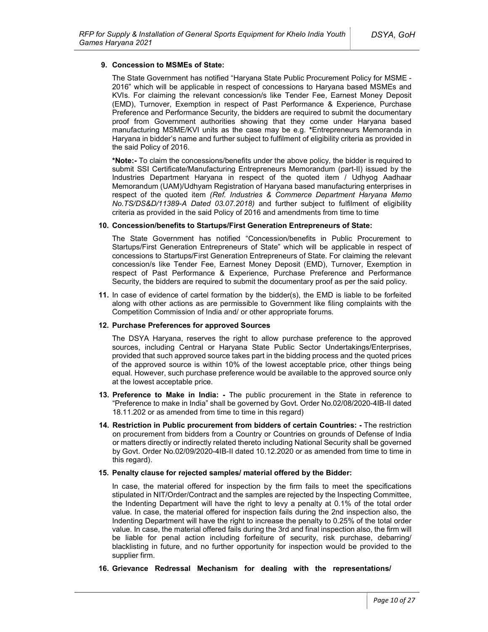#### 9. Concession to MSMEs of State:

The State Government has notified "Haryana State Public Procurement Policy for MSME - 2016" which will be applicable in respect of concessions to Haryana based MSMEs and KVIs. For claiming the relevant concession/s like Tender Fee, Earnest Money Deposit (EMD), Turnover, Exemption in respect of Past Performance & Experience, Purchase Preference and Performance Security, the bidders are required to submit the documentary proof from Government authorities showing that they come under Haryana based manufacturing MSME/KVI units as the case may be e.g. \*Entrepreneurs Memoranda in Haryana in bidder's name and further subject to fulfilment of eligibility criteria as provided in the said Policy of 2016.

\*Note:- To claim the concessions/benefits under the above policy, the bidder is required to submit SSI Certificate/Manufacturing Entrepreneurs Memorandum (part-II) issued by the Industries Department Haryana in respect of the quoted item / Udhyog Aadhaar Memorandum (UAM)/Udhyam Registration of Haryana based manufacturing enterprises in respect of the quoted item (Ref. Industries & Commerce Department Haryana Memo No.TS/DS&D/11389-A Dated 03.07.2018) and further subject to fulfilment of eligibility criteria as provided in the said Policy of 2016 and amendments from time to time

#### 10. Concession/benefits to Startups/First Generation Entrepreneurs of State:

The State Government has notified "Concession/benefits in Public Procurement to Startups/First Generation Entrepreneurs of State" which will be applicable in respect of concessions to Startups/First Generation Entrepreneurs of State. For claiming the relevant concession/s like Tender Fee, Earnest Money Deposit (EMD), Turnover, Exemption in respect of Past Performance & Experience, Purchase Preference and Performance Security, the bidders are required to submit the documentary proof as per the said policy.

11. In case of evidence of cartel formation by the bidder(s), the EMD is liable to be forfeited along with other actions as are permissible to Government like filing complaints with the Competition Commission of India and/ or other appropriate forums.

#### 12. Purchase Preferences for approved Sources

The DSYA Haryana, reserves the right to allow purchase preference to the approved sources, including Central or Haryana State Public Sector Undertakings/Enterprises, provided that such approved source takes part in the bidding process and the quoted prices of the approved source is within 10% of the lowest acceptable price, other things being equal. However, such purchase preference would be available to the approved source only at the lowest acceptable price.

- 13. Preference to Make in India: The public procurement in the State in reference to "Preference to make in India" shall be governed by Govt. Order No.02/08/2020-4IB-II dated 18.11.202 or as amended from time to time in this regard)
- 14. Restriction in Public procurement from bidders of certain Countries: The restriction on procurement from bidders from a Country or Countries on grounds of Defense of India or matters directly or indirectly related thereto including National Security shall be governed by Govt. Order No.02/09/2020-4IB-II dated 10.12.2020 or as amended from time to time in this regard).
- 15. Penalty clause for rejected samples/ material offered by the Bidder:

In case, the material offered for inspection by the firm fails to meet the specifications stipulated in NIT/Order/Contract and the samples are rejected by the Inspecting Committee, the Indenting Department will have the right to levy a penalty at 0.1% of the total order value. In case, the material offered for inspection fails during the 2nd inspection also, the Indenting Department will have the right to increase the penalty to 0.25% of the total order value. In case, the material offered fails during the 3rd and final inspection also, the firm will be liable for penal action including forfeiture of security, risk purchase, debarring/ blacklisting in future, and no further opportunity for inspection would be provided to the supplier firm.

16. Grievance Redressal Mechanism for dealing with the representations/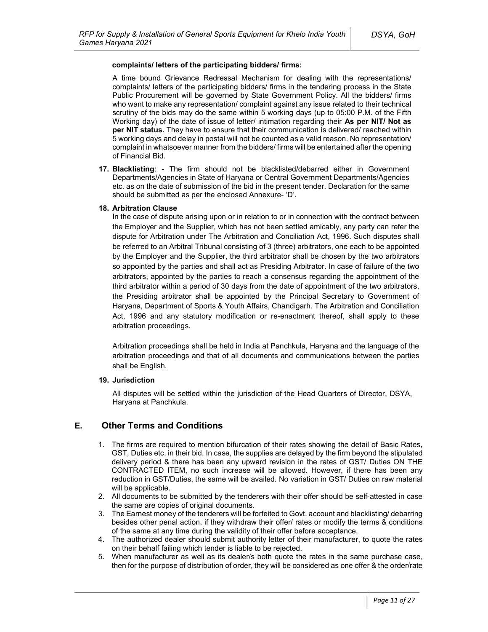#### complaints/ letters of the participating bidders/ firms:

A time bound Grievance Redressal Mechanism for dealing with the representations/ complaints/ letters of the participating bidders/ firms in the tendering process in the State Public Procurement will be governed by State Government Policy. All the bidders/ firms who want to make any representation/ complaint against any issue related to their technical scrutiny of the bids may do the same within 5 working days (up to 05:00 P.M. of the Fifth Working day) of the date of issue of letter/ intimation regarding their As per NIT/ Not as per NIT status. They have to ensure that their communication is delivered/ reached within 5 working days and delay in postal will not be counted as a valid reason. No representation/ complaint in whatsoever manner from the bidders/ firms will be entertained after the opening of Financial Bid.

17. Blacklisting: - The firm should not be blacklisted/debarred either in Government Departments/Agencies in State of Haryana or Central Government Departments/Agencies etc. as on the date of submission of the bid in the present tender. Declaration for the same should be submitted as per the enclosed Annexure- 'D'.

#### 18. Arbitration Clause

In the case of dispute arising upon or in relation to or in connection with the contract between the Employer and the Supplier, which has not been settled amicably, any party can refer the dispute for Arbitration under The Arbitration and Conciliation Act, 1996. Such disputes shall be referred to an Arbitral Tribunal consisting of 3 (three) arbitrators, one each to be appointed by the Employer and the Supplier, the third arbitrator shall be chosen by the two arbitrators so appointed by the parties and shall act as Presiding Arbitrator. In case of failure of the two arbitrators, appointed by the parties to reach a consensus regarding the appointment of the third arbitrator within a period of 30 days from the date of appointment of the two arbitrators, the Presiding arbitrator shall be appointed by the Principal Secretary to Government of Haryana, Department of Sports & Youth Affairs, Chandigarh. The Arbitration and Conciliation Act, 1996 and any statutory modification or re-enactment thereof, shall apply to these arbitration proceedings.

Arbitration proceedings shall be held in India at Panchkula, Haryana and the language of the arbitration proceedings and that of all documents and communications between the parties shall be English.

#### 19. Jurisdiction

All disputes will be settled within the jurisdiction of the Head Quarters of Director, DSYA, Haryana at Panchkula.

## E. Other Terms and Conditions

- 1. The firms are required to mention bifurcation of their rates showing the detail of Basic Rates, GST, Duties etc. in their bid. In case, the supplies are delayed by the firm beyond the stipulated delivery period & there has been any upward revision in the rates of GST/ Duties ON THE CONTRACTED ITEM, no such increase will be allowed. However, if there has been any reduction in GST/Duties, the same will be availed. No variation in GST/ Duties on raw material will be applicable.
- 2. All documents to be submitted by the tenderers with their offer should be self-attested in case the same are copies of original documents.
- 3. The Earnest money of the tenderers will be forfeited to Govt. account and blacklisting/ debarring besides other penal action, if they withdraw their offer/ rates or modify the terms & conditions of the same at any time during the validity of their offer before acceptance.
- 4. The authorized dealer should submit authority letter of their manufacturer, to quote the rates on their behalf failing which tender is liable to be rejected.
- 5. When manufacturer as well as its dealer/s both quote the rates in the same purchase case, then for the purpose of distribution of order, they will be considered as one offer & the order/rate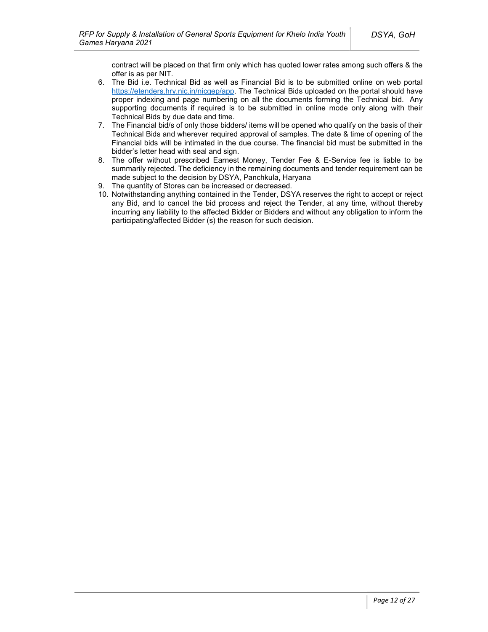contract will be placed on that firm only which has quoted lower rates among such offers & the offer is as per NIT.

- 6. The Bid i.e. Technical Bid as well as Financial Bid is to be submitted online on web portal https://etenders.hry.nic.in/nicgep/app. The Technical Bids uploaded on the portal should have proper indexing and page numbering on all the documents forming the Technical bid. Any supporting documents if required is to be submitted in online mode only along with their Technical Bids by due date and time.
- 7. The Financial bid/s of only those bidders/ items will be opened who qualify on the basis of their Technical Bids and wherever required approval of samples. The date & time of opening of the Financial bids will be intimated in the due course. The financial bid must be submitted in the bidder's letter head with seal and sign.
- 8. The offer without prescribed Earnest Money, Tender Fee & E-Service fee is liable to be summarily rejected. The deficiency in the remaining documents and tender requirement can be made subject to the decision by DSYA, Panchkula, Haryana
- 9. The quantity of Stores can be increased or decreased.
- 10. Notwithstanding anything contained in the Tender, DSYA reserves the right to accept or reject any Bid, and to cancel the bid process and reject the Tender, at any time, without thereby incurring any liability to the affected Bidder or Bidders and without any obligation to inform the participating/affected Bidder (s) the reason for such decision.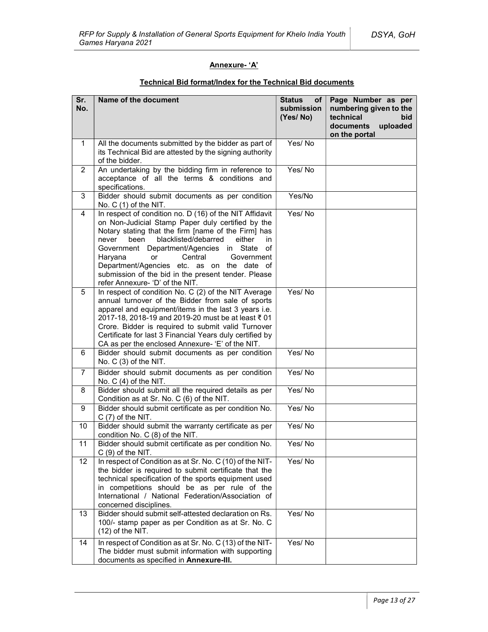## Annexure- 'A'

| Sr.<br>No.     | Name of the document                                                                                                                                                                                                                                                                                                                                                                                                                                                | <b>Status</b><br>of  <br>submission<br>(Yes/No) | Page Number as per<br>numbering given to the<br>technical<br>bid<br>documents<br>uploaded<br>on the portal |
|----------------|---------------------------------------------------------------------------------------------------------------------------------------------------------------------------------------------------------------------------------------------------------------------------------------------------------------------------------------------------------------------------------------------------------------------------------------------------------------------|-------------------------------------------------|------------------------------------------------------------------------------------------------------------|
| $\mathbf{1}$   | All the documents submitted by the bidder as part of<br>its Technical Bid are attested by the signing authority<br>of the bidder.                                                                                                                                                                                                                                                                                                                                   | Yes/No                                          |                                                                                                            |
| $\overline{2}$ | An undertaking by the bidding firm in reference to<br>acceptance of all the terms & conditions and<br>specifications.                                                                                                                                                                                                                                                                                                                                               | Yes/No                                          |                                                                                                            |
| 3              | Bidder should submit documents as per condition<br>No. $C(1)$ of the NIT.                                                                                                                                                                                                                                                                                                                                                                                           | Yes/No                                          |                                                                                                            |
| 4              | In respect of condition no. D (16) of the NIT Affidavit<br>on Non-Judicial Stamp Paper duly certified by the<br>Notary stating that the firm [name of the Firm] has<br>blacklisted/debarred<br>been<br>either<br>never<br>in<br>Government Department/Agencies in State of<br>Haryana<br>Central<br>Government<br><b>or</b><br>Department/Agencies etc. as on the date of<br>submission of the bid in the present tender. Please<br>refer Annexure- 'D' of the NIT. | Yes/No                                          |                                                                                                            |
| 5              | In respect of condition No. C (2) of the NIT Average<br>annual turnover of the Bidder from sale of sports<br>apparel and equipment/items in the last 3 years i.e.<br>2017-18, 2018-19 and 2019-20 must be at least ₹ 01<br>Crore. Bidder is required to submit valid Turnover<br>Certificate for last 3 Financial Years duly certified by<br>CA as per the enclosed Annexure- 'E' of the NIT.                                                                       | Yes/No                                          |                                                                                                            |
| 6              | Bidder should submit documents as per condition<br>No. C (3) of the NIT.                                                                                                                                                                                                                                                                                                                                                                                            | Yes/No                                          |                                                                                                            |
| $\overline{7}$ | Bidder should submit documents as per condition<br>No. $C(4)$ of the NIT.                                                                                                                                                                                                                                                                                                                                                                                           | Yes/No                                          |                                                                                                            |
| 8              | Bidder should submit all the required details as per<br>Condition as at Sr. No. C (6) of the NIT.                                                                                                                                                                                                                                                                                                                                                                   | Yes/No                                          |                                                                                                            |
| 9              | Bidder should submit certificate as per condition No.<br>$C(7)$ of the NIT.                                                                                                                                                                                                                                                                                                                                                                                         | Yes/No                                          |                                                                                                            |
| 10             | Bidder should submit the warranty certificate as per<br>condition No. C (8) of the NIT.                                                                                                                                                                                                                                                                                                                                                                             | Yes/No                                          |                                                                                                            |
| 11             | Bidder should submit certificate as per condition No.<br>$C(9)$ of the NIT.                                                                                                                                                                                                                                                                                                                                                                                         | Yes/No                                          |                                                                                                            |
| 12             | In respect of Condition as at Sr. No. C (10) of the NIT-<br>the bidder is required to submit certificate that the<br>technical specification of the sports equipment used<br>in competitions should be as per rule of the<br>International / National Federation/Association of<br>concerned disciplines.                                                                                                                                                           | Yes/No                                          |                                                                                                            |
| 13             | Bidder should submit self-attested declaration on Rs.<br>100/- stamp paper as per Condition as at Sr. No. C<br>$(12)$ of the NIT.                                                                                                                                                                                                                                                                                                                                   | Yes/No                                          |                                                                                                            |
| 14             | In respect of Condition as at Sr. No. C (13) of the NIT-<br>The bidder must submit information with supporting<br>documents as specified in Annexure-III.                                                                                                                                                                                                                                                                                                           | Yes/No                                          |                                                                                                            |

## Technical Bid format/Index for the Technical Bid documents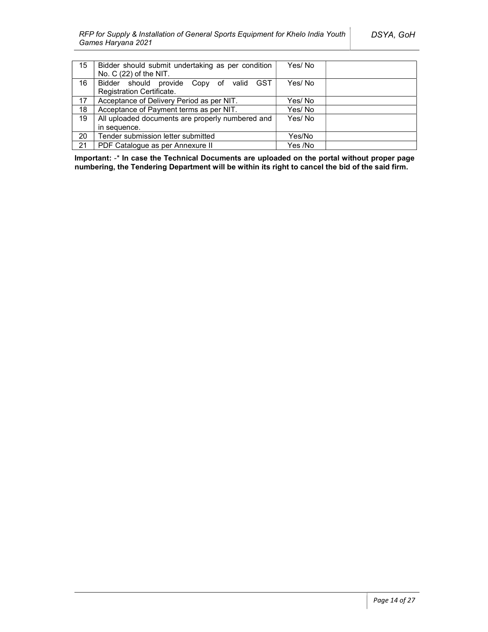| 15 | Bidder should submit undertaking as per condition | Yes/ No |  |
|----|---------------------------------------------------|---------|--|
|    | No. $C(22)$ of the NIT.                           |         |  |
| 16 | Bidder should provide Copy of valid GST           | Yes/No  |  |
|    | Registration Certificate.                         |         |  |
| 17 | Acceptance of Delivery Period as per NIT.         | Yes/No  |  |
| 18 | Acceptance of Payment terms as per NIT.           | Yes/No  |  |
| 19 | All uploaded documents are properly numbered and  | Yes/No  |  |
|    | in sequence.                                      |         |  |
| 20 | Tender submission letter submitted                | Yes/No  |  |
| 21 | PDF Catalogue as per Annexure II                  | Yes /No |  |

Important: -\* In case the Technical Documents are uploaded on the portal without proper page numbering, the Tendering Department will be within its right to cancel the bid of the said firm.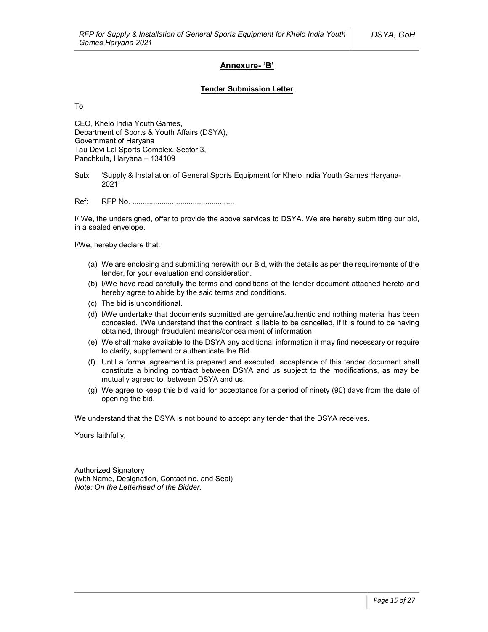## Annexure- 'B'

#### Tender Submission Letter

To

CEO, Khelo India Youth Games, Department of Sports & Youth Affairs (DSYA), Government of Haryana Tau Devi Lal Sports Complex, Sector 3, Panchkula, Haryana – 134109

Ref: RFP No. .................................................

I/ We, the undersigned, offer to provide the above services to DSYA. We are hereby submitting our bid, in a sealed envelope.

I/We, hereby declare that:

- (a) We are enclosing and submitting herewith our Bid, with the details as per the requirements of the tender, for your evaluation and consideration.
- (b) I/We have read carefully the terms and conditions of the tender document attached hereto and hereby agree to abide by the said terms and conditions.
- (c) The bid is unconditional.
- (d) I/We undertake that documents submitted are genuine/authentic and nothing material has been concealed. I/We understand that the contract is liable to be cancelled, if it is found to be having obtained, through fraudulent means/concealment of information.
- (e) We shall make available to the DSYA any additional information it may find necessary or require to clarify, supplement or authenticate the Bid.
- (f) Until a formal agreement is prepared and executed, acceptance of this tender document shall constitute a binding contract between DSYA and us subject to the modifications, as may be mutually agreed to, between DSYA and us.
- (g) We agree to keep this bid valid for acceptance for a period of ninety (90) days from the date of opening the bid.

We understand that the DSYA is not bound to accept any tender that the DSYA receives.

Yours faithfully,

Authorized Signatory (with Name, Designation, Contact no. and Seal) Note: On the Letterhead of the Bidder.

Sub: 'Supply & Installation of General Sports Equipment for Khelo India Youth Games Haryana-2021'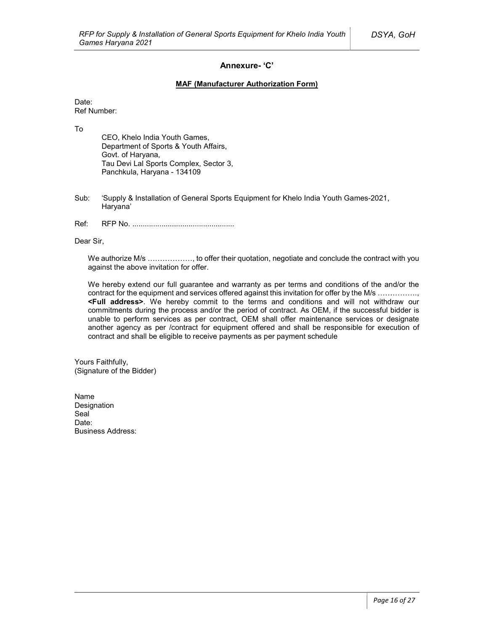## Annexure- 'C'

### MAF (Manufacturer Authorization Form)

Date:

Ref Number:

To

CEO, Khelo India Youth Games, Department of Sports & Youth Affairs, Govt. of Haryana, Tau Devi Lal Sports Complex, Sector 3, Panchkula, Haryana - 134109

- Sub: 'Supply & Installation of General Sports Equipment for Khelo India Youth Games-2021, Haryana'
- Ref: RFP No. .................................................

Dear Sir,

We authorize M/s ………………, to offer their quotation, negotiate and conclude the contract with you against the above invitation for offer.

We hereby extend our full guarantee and warranty as per terms and conditions of the and/or the contract for the equipment and services offered against this invitation for offer by the M/s ..............., <Full address>. We hereby commit to the terms and conditions and will not withdraw our commitments during the process and/or the period of contract. As OEM, if the successful bidder is unable to perform services as per contract, OEM shall offer maintenance services or designate another agency as per /contract for equipment offered and shall be responsible for execution of contract and shall be eligible to receive payments as per payment schedule

Yours Faithfully, (Signature of the Bidder)

Name Designation Seal<sup>1</sup> Date: Business Address: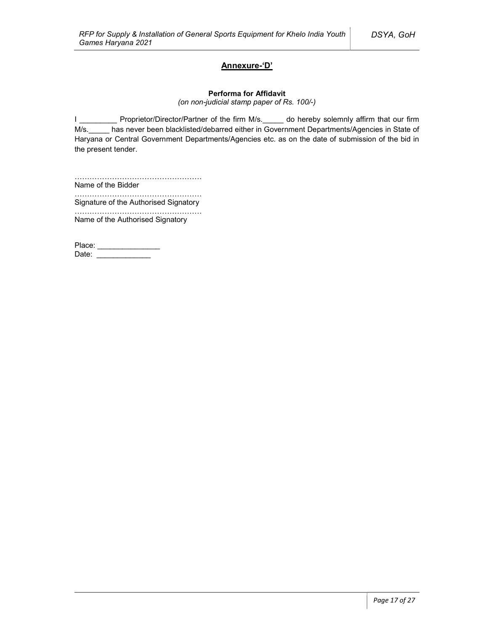## Annexure-'D'

#### Performa for Affidavit

(on non-judicial stamp paper of Rs. 100/-)

I \_\_\_\_\_\_\_\_\_\_ Proprietor/Director/Partner of the firm M/s. \_\_\_\_\_ do hereby solemnly affirm that our firm M/s.\_\_\_\_\_ has never been blacklisted/debarred either in Government Departments/Agencies in State of Haryana or Central Government Departments/Agencies etc. as on the date of submission of the bid in the present tender.

……………………………………………………… Name of the Bidder

…………………………………………… Signature of the Authorised Signatory

…………………………………………… Name of the Authorised Signatory

Place: \_\_\_\_\_\_\_\_\_\_\_\_\_\_\_\_\_\_ Date: \_\_\_\_\_\_\_\_\_\_\_\_\_\_\_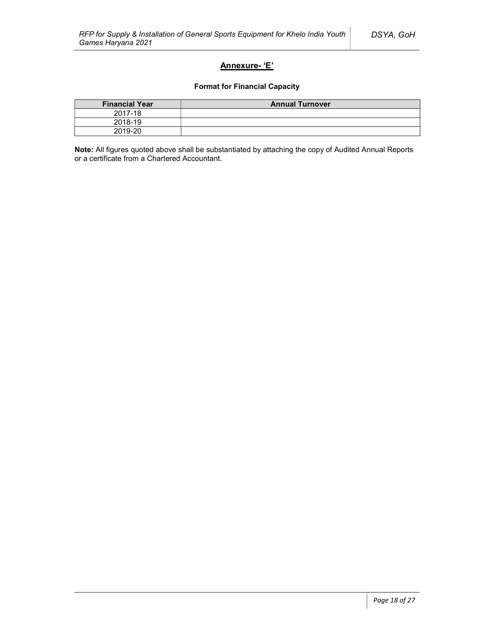## Annexure- 'E'

### Format for Financial Capacity

| <b>Financial Year</b> | <b>Annual Turnover</b> |
|-----------------------|------------------------|
| 2017-18               |                        |
| 2018-19               |                        |
| 2019-20               |                        |

Note: All figures quoted above shall be substantiated by attaching the copy of Audited Annual Reports or a certificate from a Chartered Accountant.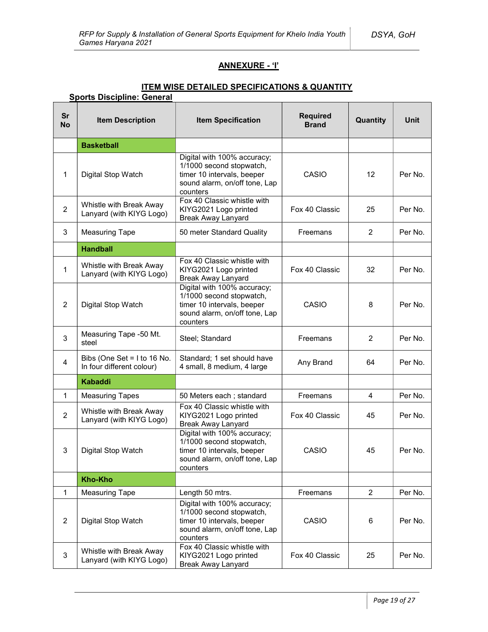## ANNEXURE - 'I'

## ITEM WISE DETAILED SPECIFICATIONS & QUANTITY

## Sports Discipline: General

| <b>Sr</b><br><b>No</b> | <b>Item Description</b>                                  | <b>Item Specification</b>                                                                                                          | <b>Required</b><br><b>Brand</b> | Quantity          | Unit    |
|------------------------|----------------------------------------------------------|------------------------------------------------------------------------------------------------------------------------------------|---------------------------------|-------------------|---------|
|                        | <b>Basketball</b>                                        |                                                                                                                                    |                                 |                   |         |
| $\mathbf{1}$           | Digital Stop Watch                                       | Digital with 100% accuracy;<br>1/1000 second stopwatch,<br>timer 10 intervals, beeper<br>sound alarm, on/off tone, Lap<br>counters | CASIO                           | $12 \overline{ }$ | Per No. |
| $\overline{2}$         | Whistle with Break Away<br>Lanyard (with KIYG Logo)      | Fox 40 Classic whistle with<br>KIYG2021 Logo printed<br><b>Break Away Lanyard</b>                                                  | Fox 40 Classic                  | 25                | Per No. |
| 3                      | <b>Measuring Tape</b>                                    | 50 meter Standard Quality                                                                                                          | Freemans                        | 2                 | Per No. |
|                        | <b>Handball</b>                                          |                                                                                                                                    |                                 |                   |         |
| 1                      | Whistle with Break Away<br>Lanyard (with KIYG Logo)      | Fox 40 Classic whistle with<br>KIYG2021 Logo printed<br><b>Break Away Lanyard</b>                                                  | Fox 40 Classic                  | 32                | Per No. |
| $\overline{2}$         | Digital Stop Watch                                       | Digital with 100% accuracy;<br>1/1000 second stopwatch,<br>timer 10 intervals, beeper<br>sound alarm, on/off tone, Lap<br>counters | CASIO                           | 8                 | Per No. |
| 3                      | Measuring Tape -50 Mt.<br>steel                          | Steel; Standard                                                                                                                    | Freemans                        | 2                 | Per No. |
| 4                      | Bibs (One Set = I to 16 No.<br>In four different colour) | Standard; 1 set should have<br>4 small, 8 medium, 4 large                                                                          | Any Brand                       | 64                | Per No. |
|                        | <b>Kabaddi</b>                                           |                                                                                                                                    |                                 |                   |         |
| $\mathbf{1}$           | <b>Measuring Tapes</b>                                   | 50 Meters each; standard                                                                                                           | Freemans                        | 4                 | Per No. |
| $\overline{2}$         | Whistle with Break Away<br>Lanyard (with KIYG Logo)      | Fox 40 Classic whistle with<br>KIYG2021 Logo printed<br><b>Break Away Lanyard</b>                                                  | Fox 40 Classic                  | 45                | Per No. |
| 3                      | Digital Stop Watch                                       | Digital with 100% accuracy;<br>1/1000 second stopwatch,<br>timer 10 intervals, beeper<br>sound alarm, on/off tone, Lap<br>counters | CASIO                           | 45                | Per No. |
|                        | <b>Kho-Kho</b>                                           |                                                                                                                                    |                                 |                   |         |
| $\mathbf{1}$           | <b>Measuring Tape</b>                                    | Length 50 mtrs.                                                                                                                    | Freemans                        | $\overline{c}$    | Per No. |
| $\overline{2}$         | Digital Stop Watch                                       | Digital with 100% accuracy;<br>1/1000 second stopwatch,<br>timer 10 intervals, beeper<br>sound alarm, on/off tone, Lap<br>counters | CASIO                           | 6                 | Per No. |
| 3                      | Whistle with Break Away<br>Lanyard (with KIYG Logo)      | Fox 40 Classic whistle with<br>KIYG2021 Logo printed<br><b>Break Away Lanyard</b>                                                  | Fox 40 Classic                  | 25                | Per No. |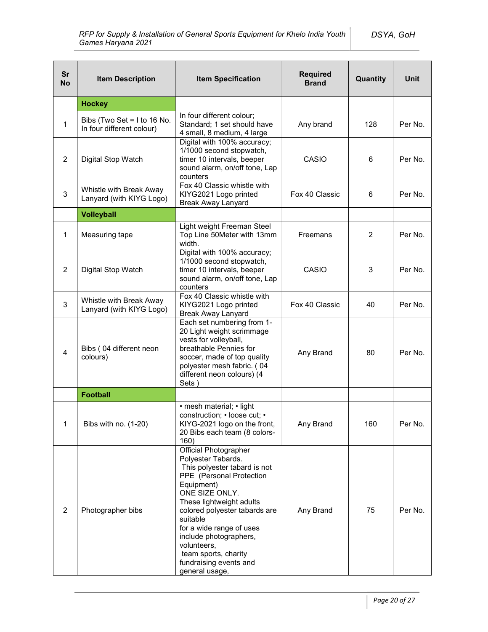| <b>Sr</b><br><b>No</b> | <b>Item Description</b>                                                                                                                                                                                                                               | <b>Item Specification</b>                                                                                                                                                                                                                                                                                                                                        | <b>Required</b><br><b>Brand</b> | Quantity       | <b>Unit</b> |
|------------------------|-------------------------------------------------------------------------------------------------------------------------------------------------------------------------------------------------------------------------------------------------------|------------------------------------------------------------------------------------------------------------------------------------------------------------------------------------------------------------------------------------------------------------------------------------------------------------------------------------------------------------------|---------------------------------|----------------|-------------|
|                        | <b>Hockey</b>                                                                                                                                                                                                                                         |                                                                                                                                                                                                                                                                                                                                                                  |                                 |                |             |
| 1                      | Bibs (Two Set = $1$ to 16 No.<br>In four different colour)                                                                                                                                                                                            | In four different colour;<br>Standard; 1 set should have<br>4 small, 8 medium, 4 large                                                                                                                                                                                                                                                                           | Any brand                       | 128            | Per No.     |
| $\overline{2}$         | Digital Stop Watch                                                                                                                                                                                                                                    | Digital with 100% accuracy;<br>1/1000 second stopwatch,<br>timer 10 intervals, beeper<br>sound alarm, on/off tone, Lap<br>counters                                                                                                                                                                                                                               |                                 | 6              | Per No.     |
| $\mathbf{3}$           | Whistle with Break Away<br>Lanyard (with KIYG Logo)                                                                                                                                                                                                   | Fox 40 Classic whistle with<br>KIYG2021 Logo printed<br><b>Break Away Lanyard</b>                                                                                                                                                                                                                                                                                | Fox 40 Classic                  | 6              | Per No.     |
|                        | <b>Volleyball</b>                                                                                                                                                                                                                                     |                                                                                                                                                                                                                                                                                                                                                                  |                                 |                |             |
| 1                      | Measuring tape                                                                                                                                                                                                                                        | Light weight Freeman Steel<br>Top Line 50Meter with 13mm<br>width.                                                                                                                                                                                                                                                                                               | Freemans                        | $\overline{2}$ | Per No.     |
| $\overline{2}$         | Digital with 100% accuracy;<br>1/1000 second stopwatch,<br>timer 10 intervals, beeper<br>Digital Stop Watch<br>sound alarm, on/off tone, Lap<br>counters                                                                                              |                                                                                                                                                                                                                                                                                                                                                                  | CASIO                           | 3              | Per No.     |
| 3                      | Whistle with Break Away<br>Lanyard (with KIYG Logo)                                                                                                                                                                                                   | Fox 40 Classic whistle with<br>KIYG2021 Logo printed<br><b>Break Away Lanyard</b>                                                                                                                                                                                                                                                                                | Fox 40 Classic                  |                | Per No.     |
| $\overline{4}$         | Each set numbering from 1-<br>20 Light weight scrimmage<br>vests for volleyball,<br>Bibs (04 different neon<br>breathable Pennies for<br>colours)<br>soccer, made of top quality<br>polyester mesh fabric. (04<br>different neon colours) (4<br>Sets) |                                                                                                                                                                                                                                                                                                                                                                  | Any Brand                       | 80             | Per No.     |
|                        | <b>Football</b>                                                                                                                                                                                                                                       |                                                                                                                                                                                                                                                                                                                                                                  |                                 |                |             |
| 1                      | Bibs with no. (1-20)                                                                                                                                                                                                                                  | • mesh material; • light<br>construction; · loose cut; ·<br>KIYG-2021 logo on the front,<br>20 Bibs each team (8 colors-<br>160)                                                                                                                                                                                                                                 | Any Brand                       | 160            | Per No.     |
| $\overline{2}$         | Photographer bibs                                                                                                                                                                                                                                     | <b>Official Photographer</b><br>Polyester Tabards.<br>This polyester tabard is not<br>PPE (Personal Protection<br>Equipment)<br>ONE SIZE ONLY.<br>These lightweight adults<br>colored polyester tabards are<br>suitable<br>for a wide range of uses<br>include photographers,<br>volunteers,<br>team sports, charity<br>fundraising events and<br>general usage, | Any Brand                       | 75             | Per No.     |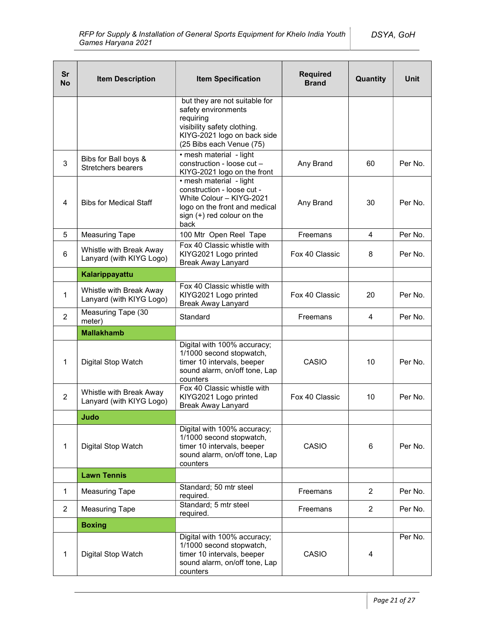| <b>Sr</b><br><b>No</b> | <b>Item Description</b>                             | <b>Required</b><br><b>Item Specification</b><br>Quantity<br><b>Brand</b>                                                                                    |                | <b>Unit</b>    |         |
|------------------------|-----------------------------------------------------|-------------------------------------------------------------------------------------------------------------------------------------------------------------|----------------|----------------|---------|
|                        |                                                     | but they are not suitable for<br>safety environments<br>requiring<br>visibility safety clothing.<br>KIYG-2021 logo on back side<br>(25 Bibs each Venue (75) |                |                |         |
| 3                      | Bibs for Ball boys &<br><b>Stretchers bearers</b>   | · mesh material - light<br>construction - loose cut -<br>KIYG-2021 logo on the front                                                                        | Any Brand      | 60             | Per No. |
| $\overline{4}$         | <b>Bibs for Medical Staff</b>                       | • mesh material - light<br>construction - loose cut -<br>White Colour - KIYG-2021<br>logo on the front and medical<br>sign (+) red colour on the<br>back    | Any Brand      | 30             | Per No. |
| 5                      | <b>Measuring Tape</b>                               | 100 Mtr Open Reel Tape                                                                                                                                      | Freemans       | 4              | Per No. |
| 6                      | Whistle with Break Away<br>Lanyard (with KIYG Logo) | Fox 40 Classic whistle with<br>KIYG2021 Logo printed<br><b>Break Away Lanyard</b>                                                                           | Fox 40 Classic | 8              | Per No. |
|                        | Kalarippayattu                                      |                                                                                                                                                             |                |                |         |
| $\mathbf{1}$           | Whistle with Break Away<br>Lanyard (with KIYG Logo) | Fox 40 Classic whistle with<br>KIYG2021 Logo printed<br><b>Break Away Lanyard</b>                                                                           | Fox 40 Classic | 20             | Per No. |
| $\overline{2}$         | Measuring Tape (30<br>meter)                        | Standard                                                                                                                                                    | Freemans       | 4              | Per No. |
|                        | <b>Mallakhamb</b>                                   |                                                                                                                                                             |                |                |         |
| 1                      | Digital Stop Watch                                  | Digital with 100% accuracy;<br>1/1000 second stopwatch,<br>timer 10 intervals, beeper<br>sound alarm, on/off tone, Lap<br>counters                          | CASIO          | 10             | Per No. |
| $\overline{2}$         | Whistle with Break Away<br>Lanyard (with KIYG Logo) | Fox 40 Classic whistle with<br>KIYG2021 Logo printed<br><b>Break Away Lanyard</b>                                                                           | Fox 40 Classic | 10             | Per No. |
|                        | Judo                                                |                                                                                                                                                             |                |                |         |
| 1                      | Digital Stop Watch                                  | Digital with 100% accuracy;<br>1/1000 second stopwatch,<br>CASIO<br>timer 10 intervals, beeper<br>sound alarm, on/off tone, Lap<br>counters                 |                | 6              | Per No. |
|                        | <b>Lawn Tennis</b>                                  |                                                                                                                                                             |                |                |         |
| $\mathbf{1}$           | <b>Measuring Tape</b>                               | Standard; 50 mtr steel<br>required.                                                                                                                         | Freemans       | $\overline{2}$ | Per No. |
| $\overline{2}$         | <b>Measuring Tape</b>                               | Standard; 5 mtr steel<br>required.                                                                                                                          | Freemans       | $\overline{2}$ | Per No. |
|                        | <b>Boxing</b>                                       |                                                                                                                                                             |                |                |         |
| 1                      | Digital Stop Watch                                  | Digital with 100% accuracy;<br>1/1000 second stopwatch,<br>timer 10 intervals, beeper<br>sound alarm, on/off tone, Lap<br>counters                          | CASIO          | 4              | Per No. |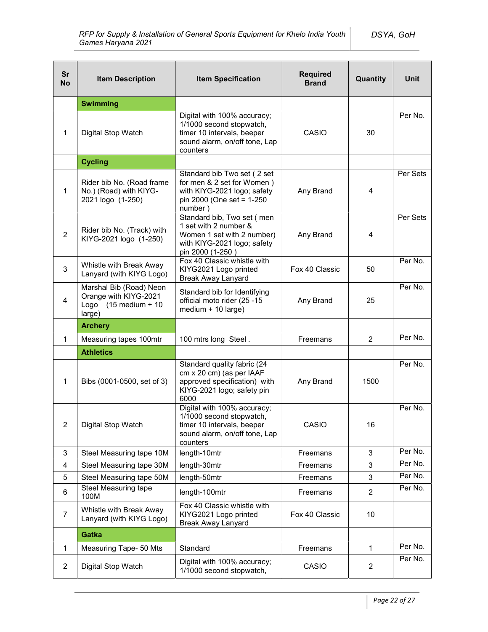| <b>Sr</b><br><b>No</b> | <b>Item Description</b>                                                                      | <b>Item Specification</b>                                                                                                            | <b>Required</b><br><b>Brand</b> | Quantity       | <b>Unit</b> |
|------------------------|----------------------------------------------------------------------------------------------|--------------------------------------------------------------------------------------------------------------------------------------|---------------------------------|----------------|-------------|
|                        | <b>Swimming</b>                                                                              |                                                                                                                                      |                                 |                |             |
| 1                      | Digital Stop Watch                                                                           | Digital with 100% accuracy;<br>1/1000 second stopwatch,<br>timer 10 intervals, beeper<br>sound alarm, on/off tone, Lap<br>counters   | CASIO                           | 30             | Per No.     |
|                        | <b>Cycling</b>                                                                               |                                                                                                                                      |                                 |                |             |
| 1                      | Rider bib No. (Road frame<br>No.) (Road) with KIYG-<br>2021 logo (1-250)                     | Standard bib Two set (2 set<br>for men & 2 set for Women)<br>with KIYG-2021 logo; safety<br>pin 2000 (One set = 1-250<br>number)     | Any Brand                       | $\overline{4}$ | Per Sets    |
| $\overline{2}$         | Rider bib No. (Track) with<br>KIYG-2021 logo (1-250)                                         | Standard bib, Two set (men<br>1 set with 2 number &<br>Women 1 set with 2 number)<br>with KIYG-2021 logo; safety<br>pin 2000 (1-250) | Any Brand                       | 4              | Per Sets    |
| 3                      | Whistle with Break Away<br>Lanyard (with KIYG Logo)                                          | Fox 40 Classic whistle with<br>KIYG2021 Logo printed<br><b>Break Away Lanyard</b>                                                    | Fox 40 Classic                  | 50             | Per No.     |
| 4                      | Marshal Bib (Road) Neon<br>Orange with KIYG-2021<br>Logo $(15 \text{ medium} + 10$<br>large) | Standard bib for Identifying<br>official moto rider (25-15<br>medium + 10 large)                                                     | Any Brand                       | 25             | Per No.     |
|                        | <b>Archery</b>                                                                               |                                                                                                                                      |                                 |                |             |
| 1                      | Measuring tapes 100mtr                                                                       | 100 mtrs long Steel.                                                                                                                 | Freemans                        | $\overline{2}$ | Per No.     |
|                        | <b>Athletics</b>                                                                             |                                                                                                                                      |                                 |                |             |
| 1                      | Bibs (0001-0500, set of 3)                                                                   | Standard quality fabric (24<br>cm x 20 cm) (as per IAAF<br>approved specification) with<br>KIYG-2021 logo; safety pin<br>6000        | Any Brand                       | 1500           | Per No.     |
| $\overline{2}$         | Digital Stop Watch                                                                           | Digital with 100% accuracy;<br>1/1000 second stopwatch,<br>timer 10 intervals, beeper<br>sound alarm, on/off tone, Lap<br>counters   | CASIO                           | 16             | Per No.     |
| 3                      | Steel Measuring tape 10M                                                                     | length-10mtr                                                                                                                         | Freemans                        | 3              | Per No.     |
| $\overline{4}$         | Steel Measuring tape 30M                                                                     | length-30mtr                                                                                                                         | Freemans                        | 3              | Per No.     |
| 5                      | Steel Measuring tape 50M                                                                     | length-50mtr                                                                                                                         | Freemans                        | 3              | Per No.     |
| 6                      | Steel Measuring tape<br>100M                                                                 | length-100mtr                                                                                                                        | Freemans                        | $\overline{2}$ | Per No.     |
| $\overline{7}$         | Whistle with Break Away<br>Lanyard (with KIYG Logo)                                          | Fox 40 Classic whistle with<br>KIYG2021 Logo printed<br><b>Break Away Lanyard</b>                                                    | Fox 40 Classic                  | 10             |             |
|                        | Gatka                                                                                        |                                                                                                                                      |                                 |                |             |
| $\mathbf{1}$           | Measuring Tape- 50 Mts                                                                       | Standard                                                                                                                             | Freemans                        | $\mathbf{1}$   | Per No.     |
| $\overline{2}$         | Digital Stop Watch                                                                           | Digital with 100% accuracy;<br>1/1000 second stopwatch,                                                                              | CASIO                           | $\overline{2}$ | Per No.     |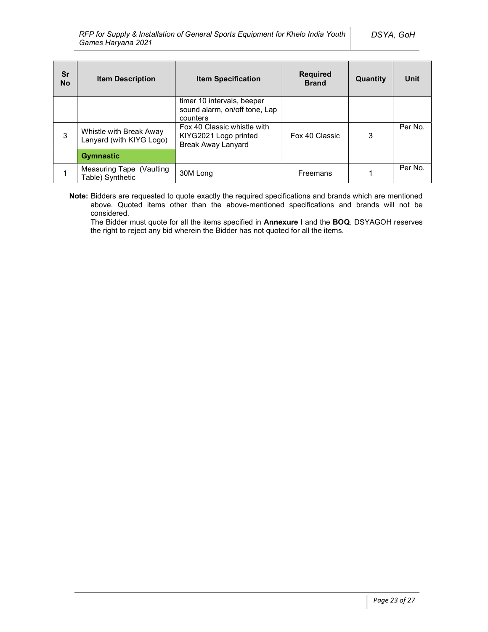| Sr<br><b>No</b> | <b>Item Description</b>                             | <b>Item Specification</b>                                                         | <b>Required</b><br><b>Brand</b> | Quantity | Unit    |
|-----------------|-----------------------------------------------------|-----------------------------------------------------------------------------------|---------------------------------|----------|---------|
|                 |                                                     | timer 10 intervals, beeper<br>sound alarm, on/off tone, Lap<br>counters           |                                 |          |         |
| 3               | Whistle with Break Away<br>Lanyard (with KIYG Logo) | Fox 40 Classic whistle with<br>KIYG2021 Logo printed<br><b>Break Away Lanyard</b> | Fox 40 Classic                  | 3        | Per No. |
|                 | <b>Gymnastic</b>                                    |                                                                                   |                                 |          |         |
|                 | Measuring Tape (Vaulting<br>Table) Synthetic        | 30M Long                                                                          | Freemans                        |          | Per No. |

Note: Bidders are requested to quote exactly the required specifications and brands which are mentioned above. Quoted items other than the above-mentioned specifications and brands will not be considered.

The Bidder must quote for all the items specified in Annexure I and the BOQ. DSYAGOH reserves the right to reject any bid wherein the Bidder has not quoted for all the items.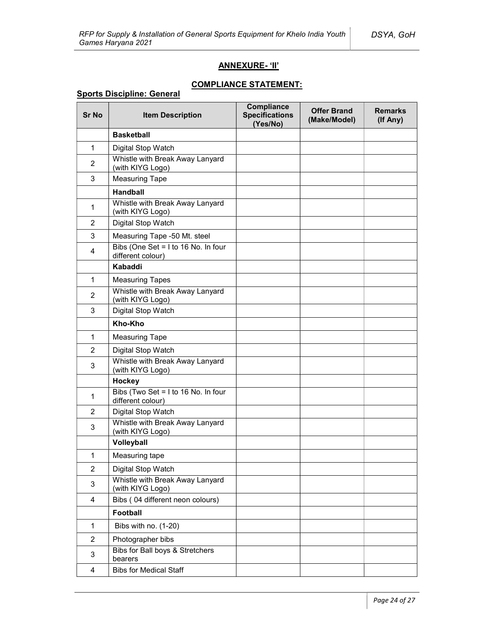## ANNEXURE- 'II'

## COMPLIANCE STATEMENT:

## Sports Discipline: General

| <b>Sr No</b>            | <b>Item Description</b>                                  | <b>Compliance</b><br><b>Specifications</b><br>(Yes/No) | <b>Offer Brand</b><br>(Make/Model) | <b>Remarks</b><br>(If Any) |
|-------------------------|----------------------------------------------------------|--------------------------------------------------------|------------------------------------|----------------------------|
|                         | <b>Basketball</b>                                        |                                                        |                                    |                            |
| 1                       | Digital Stop Watch                                       |                                                        |                                    |                            |
| 2                       | Whistle with Break Away Lanyard<br>(with KIYG Logo)      |                                                        |                                    |                            |
| 3                       | <b>Measuring Tape</b>                                    |                                                        |                                    |                            |
|                         | <b>Handball</b>                                          |                                                        |                                    |                            |
| 1                       | Whistle with Break Away Lanyard<br>(with KIYG Logo)      |                                                        |                                    |                            |
| 2                       | Digital Stop Watch                                       |                                                        |                                    |                            |
| 3                       | Measuring Tape -50 Mt. steel                             |                                                        |                                    |                            |
| 4                       | Bibs (One Set = I to 16 No. In four<br>different colour) |                                                        |                                    |                            |
|                         | Kabaddi                                                  |                                                        |                                    |                            |
| 1                       | <b>Measuring Tapes</b>                                   |                                                        |                                    |                            |
| $\overline{2}$          | Whistle with Break Away Lanyard<br>(with KIYG Logo)      |                                                        |                                    |                            |
| 3                       | Digital Stop Watch                                       |                                                        |                                    |                            |
|                         | Kho-Kho                                                  |                                                        |                                    |                            |
| 1                       | <b>Measuring Tape</b>                                    |                                                        |                                    |                            |
| 2                       | Digital Stop Watch                                       |                                                        |                                    |                            |
| 3                       | Whistle with Break Away Lanyard<br>(with KIYG Logo)      |                                                        |                                    |                            |
|                         | Hockey                                                   |                                                        |                                    |                            |
| 1                       | Bibs (Two Set = I to 16 No. In four<br>different colour) |                                                        |                                    |                            |
| $\overline{2}$          | Digital Stop Watch                                       |                                                        |                                    |                            |
| 3                       | Whistle with Break Away Lanyard<br>(with KIYG Logo)      |                                                        |                                    |                            |
|                         | Volleyball                                               |                                                        |                                    |                            |
| 1                       | Measuring tape                                           |                                                        |                                    |                            |
| $\overline{2}$          | Digital Stop Watch                                       |                                                        |                                    |                            |
| 3                       | Whistle with Break Away Lanyard<br>(with KIYG Logo)      |                                                        |                                    |                            |
| 4                       | Bibs (04 different neon colours)                         |                                                        |                                    |                            |
|                         | <b>Football</b>                                          |                                                        |                                    |                            |
| $\mathbf 1$             | Bibs with no. (1-20)                                     |                                                        |                                    |                            |
| $\overline{2}$          | Photographer bibs                                        |                                                        |                                    |                            |
| 3                       | Bibs for Ball boys & Stretchers<br>bearers               |                                                        |                                    |                            |
| $\overline{\mathbf{4}}$ | <b>Bibs for Medical Staff</b>                            |                                                        |                                    |                            |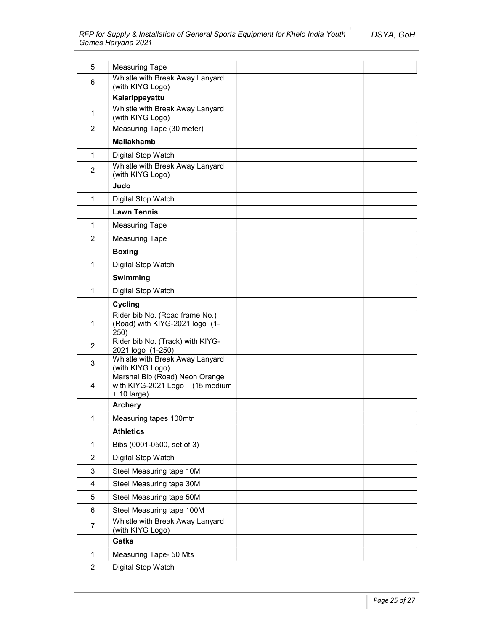| 5                       | <b>Measuring Tape</b>                                                             |  |
|-------------------------|-----------------------------------------------------------------------------------|--|
| 6                       | Whistle with Break Away Lanyard<br>(with KIYG Logo)                               |  |
|                         | Kalarippayattu                                                                    |  |
| 1                       | Whistle with Break Away Lanyard<br>(with KIYG Logo)                               |  |
| 2                       | Measuring Tape (30 meter)                                                         |  |
|                         | <b>Mallakhamb</b>                                                                 |  |
| 1                       | Digital Stop Watch                                                                |  |
| $\overline{2}$          | Whistle with Break Away Lanyard<br>(with KIYG Logo)                               |  |
|                         | Judo                                                                              |  |
| $\mathbf 1$             | Digital Stop Watch                                                                |  |
|                         | <b>Lawn Tennis</b>                                                                |  |
| 1                       | <b>Measuring Tape</b>                                                             |  |
| $\overline{2}$          | <b>Measuring Tape</b>                                                             |  |
|                         | <b>Boxing</b>                                                                     |  |
| $\mathbf{1}$            | Digital Stop Watch                                                                |  |
|                         | Swimming                                                                          |  |
| $\mathbf{1}$            | Digital Stop Watch                                                                |  |
|                         | Cycling                                                                           |  |
| 1                       | Rider bib No. (Road frame No.)<br>(Road) with KIYG-2021 logo (1-<br>250)          |  |
| $\overline{2}$          | Rider bib No. (Track) with KIYG-<br>2021 logo (1-250)                             |  |
| $\mathbf{3}$            | Whistle with Break Away Lanyard<br>(with KIYG Logo)                               |  |
| 4                       | Marshal Bib (Road) Neon Orange<br>with KIYG-2021 Logo (15 medium<br>$+ 10$ large) |  |
|                         | <b>Archery</b>                                                                    |  |
| 1                       | Measuring tapes 100mtr                                                            |  |
|                         | <b>Athletics</b>                                                                  |  |
| $\mathbf{1}$            | Bibs (0001-0500, set of 3)                                                        |  |
| $\overline{c}$          | Digital Stop Watch                                                                |  |
| 3                       | Steel Measuring tape 10M                                                          |  |
| $\overline{\mathbf{4}}$ | Steel Measuring tape 30M                                                          |  |
| 5                       | Steel Measuring tape 50M                                                          |  |
| 6                       | Steel Measuring tape 100M                                                         |  |
| 7                       | Whistle with Break Away Lanyard<br>(with KIYG Logo)                               |  |
|                         | Gatka                                                                             |  |
| $\mathbf{1}$            | Measuring Tape- 50 Mts                                                            |  |
| $\overline{2}$          | Digital Stop Watch                                                                |  |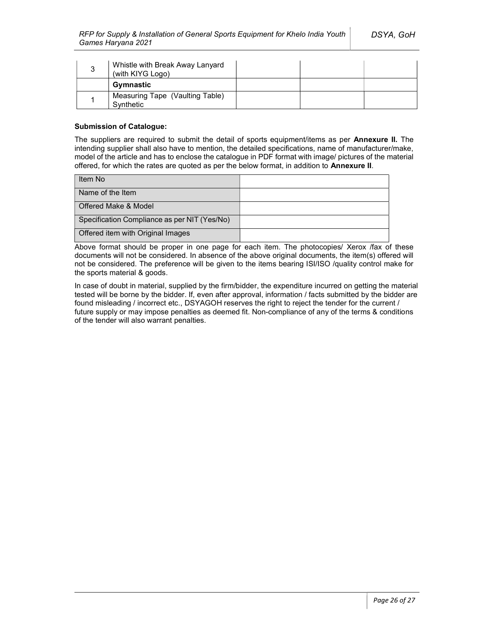| 3 | Whistle with Break Away Lanyard<br>(with KIYG Logo) |  |  |
|---|-----------------------------------------------------|--|--|
|   | Gymnastic                                           |  |  |
|   | Measuring Tape (Vaulting Table)<br>Synthetic        |  |  |

### Submission of Catalogue:

The suppliers are required to submit the detail of sports equipment/items as per Annexure II. The intending supplier shall also have to mention, the detailed specifications, name of manufacturer/make, model of the article and has to enclose the catalogue in PDF format with image/ pictures of the material offered, for which the rates are quoted as per the below format, in addition to Annexure II.

| Item No                                      |  |
|----------------------------------------------|--|
| Name of the Item                             |  |
| Offered Make & Model                         |  |
| Specification Compliance as per NIT (Yes/No) |  |
| Offered item with Original Images            |  |

Above format should be proper in one page for each item. The photocopies/ Xerox /fax of these documents will not be considered. In absence of the above original documents, the item(s) offered will not be considered. The preference will be given to the items bearing ISI/ISO /quality control make for the sports material & goods.

In case of doubt in material, supplied by the firm/bidder, the expenditure incurred on getting the material tested will be borne by the bidder. If, even after approval, information / facts submitted by the bidder are found misleading / incorrect etc., DSYAGOH reserves the right to reject the tender for the current / future supply or may impose penalties as deemed fit. Non-compliance of any of the terms & conditions of the tender will also warrant penalties.